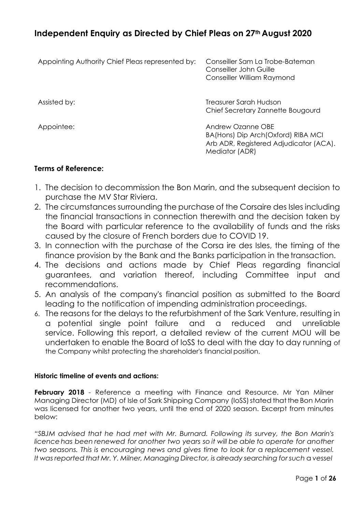# **Independent Enquiry as Directed by Chief Pleas on 27th August 2020**

| Appointing Authority Chief Pleas represented by: | Conseiller Sam La Trobe-Bateman<br>Conseiller John Guille<br>Conseiller William Raymond                             |
|--------------------------------------------------|---------------------------------------------------------------------------------------------------------------------|
| Assisted by:                                     | Treasurer Sarah Hudson<br>Chief Secretary Zannette Bougourd                                                         |
| Appointee:                                       | Andrew Ozanne OBF<br>BA(Hons) Dip Arch(Oxford) RIBA MCI<br>Arb ADR, Registered Adjudicator (ACA).<br>Mediator (ADR) |

# **Terms of Reference:**

- 1. The decision to decommission the Bon Marin, and the subsequent decision to purchase the MV Star Riviera.
- 2. The circumstances surrounding the purchase of the Corsaire des Isles including the financial transactions in connection therewith and the decision taken by the Board with particular reference to the availability of funds and the risks caused by the closure of French borders due to COVID 19.
- 3. In connection with the purchase of the Corsa ire des Isles, the timing of the finance provision by the Bank and the Banks participation in the transaction.
- 4. The decisions and actions made by Chief Pleas regarding financial guarantees, and variation thereof, including Committee input and recommendations.
- 5. An analysis of the company's financial position as submitted to the Board leading to the notification of impending administration proceedings.
- 6. The reasons for the delays to the refurbishment of the Sark Venture, resulting in a potential single point failure and a reduced and unreliable service. Following this report, a detailed review of the current MOU will be undertaken to enable the Board of loSS to deal with the day to day running of the Company whilst protecting the shareholder's financial position.

# **Historic timeline of events and actions:**

**February 2018** - Reference a meeting with Finance and Resource. Mr Yan Milner Managing Director (MD) of Isle of Sark Shipping Company (IoSS) stated that the Bon Marin was licensed for another two years, until the end of 2020 season. Excerpt from minutes below:

*"SBJM advised that he had met with Mr. Burnard. Following its survey, the Bon Marin's licencehas been renewed for another two years so it will be able to operate for another two seasons. This is encouraging news and gives time to look for a replacement vessel. It was reported that Mr. Y. Milner, Managing Director, is already searching forsuch* a *vessel*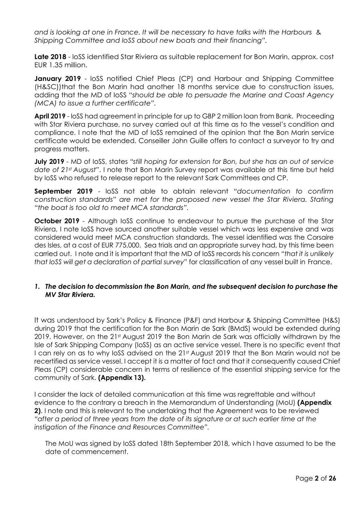*and is looking at one in France. It will be necessary to have talks with the Harbours* & *Shipping Committee and loSS about new boats and their financing".*

**Late 2018** - loSS identified Star Riviera as suitable replacement for Bon Marin, approx. cost EUR 1.35 million.

**January 2019** - loSS notified Chief Pleas (CP) and Harbour and Shipping Committee (H&SC))that the Bon Marin had another 18 months service due to construction issues, adding that the MD of IoSS *"should be able to persuade the Marine and Coast Agency (MCA) to issue a further certificate".*

**April 2019** - loSS had agreement in principle for up to GBP 2 million loan from Bank. Proceeding with Star Riviera purchase, no survey carried out at this time as to the vessel's condition and compliance. I note that the MD of IoSS remained of the opinion that the Bon Marin service certificate would be extended. Conseiller John Guille offers to contact a surveyor to try and progress matters.

**July 2019** - MD of IoSS, states *"still hoping for extension for Bon, but she has an out of service date of 21st August"*. I note that Bon Marin Survey report was available at this time but held by loSS who refused to release report to the relevant Sark Committees and CP.

**September 2019** - loSS not able to obtain relevant *"documentation to confirm construction standards" are met for the proposed new vessel the Star Riviera. Stating "the boat is too old to meet MCA standards".*

**October 2019** - Although IoSS continue to endeavour to pursue the purchase of the Star Riviera, I note IoSS have sourced another suitable vessel which was less expensive and was considered would meet MCA construction standards. The vessel identified was the Corsaire des Isles, at a cost of EUR 775,000. Sea trials and an appropriate survey had, by this time been carried out. I note and it is important that the MD of IoSS records his concern *"that it is unlikely that loSS will get a declaration of partial survey"* for classification of any vessel built in France.

# *1. The decision to decommission the Bon Marin, and the subsequent decision to purchase the MV Star Riviera.*

It was understood by Sark's Policy & Finance (P&F) and Harbour & Shipping Committee (H&S) during 2019 that the certification for the Bon Marin de Sark (BMdS) would be extended during 2019. However, on the 21st August 2019 the Bon Marin de Sark was officially withdrawn by the Isle of Sark Shipping Company (IoSS) as an active service vessel. There is no specific event that I can rely on as to why IoSS advised on the 21st August 2019 that the Bon Marin would not be recertified as service vessel. I accept it is a matter of fact and that it consequently caused Chief Pleas (CP) considerable concern in terms of resilience of the essential shipping service for the community of Sark. **(Appendix 13).**

I consider the lack of detailed communication at this time was regrettable and without evidence to the contrary a breach in the Memorandum of Understanding (MoU) **(Appendix 2)**. I note and this is relevant to the undertaking that the Agreement was to be reviewed *"after a period of three years from the date of its signature or at such earlier time at the instigation of the Finance and Resources Committee".*

The MoU was signed by IoSS dated 18th September 2018, which I have assumed to be the date of commencement.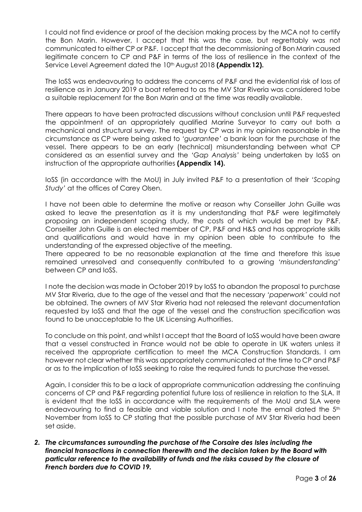I could not find evidence or proof of the decision making process by the MCA not to certify the Bon Marin. However, I accept that this was the case, but regrettably was not communicated to either CP or P&F. I accept that the decommissioning of Bon Marin caused legitimate concern to CP and P&F in terms of the loss of resilience in the context of the Service Level Agreement dated the 10<sup>th</sup> August 2018 **(Appendix 12).** 

The IoSS was endeavouring to address the concerns of P&F and the evidential risk of loss of resilience as in January 2019 a boat referred to as the MV Star Riveria was considered tobe a suitable replacement for the Bon Marin and at the time was readily available.

There appears to have been protracted discussions without conclusion until P&F requested the appointment of an appropriately qualified Marine Surveyor to carry out both a mechanical and structural survey. The request by CP was in my opinion reasonable in the circumstance as CP were being asked to *'guarantee'* a bank loan for the purchase of the vessel. There appears to be an early (technical) misunderstanding between what CP considered as an essential survey and the *'Gap Analysis'* being undertaken by IoSS on instruction of the appropriate authorities **(Appendix 14).**

IoSS (in accordance with the MoU) in July invited P&F to a presentation of their *'Scoping Study'* at the offices of Carey Olsen.

I have not been able to determine the motive or reason why Conseiller John Guille was asked to leave the presentation as it is my understanding that P&F were legitimately proposing an independent scoping study, the costs of which would be met by P&F. Conseiller John Guille is an elected member of CP, P&F and H&S and has appropriate skills and qualifications and would have in my opinion been able to contribute to the understanding of the expressed objective of the meeting.

There appeared to be no reasonable explanation at the time and therefore this issue remained unresolved and consequently contributed to a growing *'misunderstanding'*  between CP and IoSS.

I note the decision was made in October 2019 by IoSS to abandon the proposal to purchase MV Star Riveria, due to the age of the vessel and that the necessary *'paperwork'* could not be obtained. The owners of MV Star Riveria had not released the relevant documentation requested by IoSS and that the age of the vessel and the construction specification was found to be unacceptable to the UK Licensing Authorities.

To conclude on this point, and whilst I accept that the Board of IoSS would have been aware that a vessel constructed in France would not be able to operate in UK waters unless it received the appropriate certification to meet the MCA Construction Standards. I am however not clear whether this was appropriately communicated at the time to CP and P&F or as to the implication of IoSS seeking to raise the required funds to purchase thevessel.

Again, I consider this to be a lack of appropriate communication addressing the continuing concerns of CP and P&F regarding potential future loss of resilience in relation to the SLA. It is evident that the IoSS in accordance with the requirements of the MoU and SLA were endeavouring to find a feasible and viable solution and I note the email dated the 5<sup>th</sup> November from IoSS to CP stating that the possible purchase of MV Star Riveria had been set aside.

*2. The circumstances surrounding the purchase of the Corsaire des Isles including the financial transactions in connection therewith and the decision taken by the Board with particular reference to the availability of funds and the risks caused by the closure of French borders due to COVID 19.*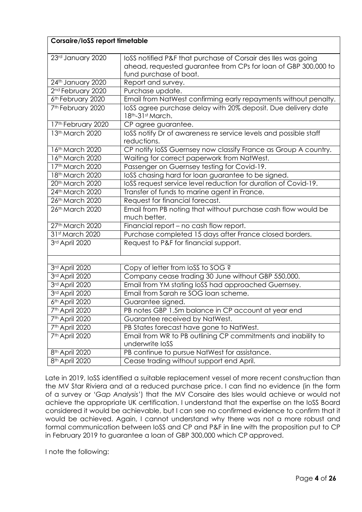# **Corsaire/IoSS report timetable**

| 23rd January 2020             | loSS notified P&F that purchase of Corsair des lles was going<br>ahead, requested guarantee from CPs for loan of GBP 300,000 to<br>fund purchase of boat. |
|-------------------------------|-----------------------------------------------------------------------------------------------------------------------------------------------------------|
| 24th January 2020             | Report and survey.                                                                                                                                        |
| 2 <sup>nd</sup> February 2020 | Purchase update.                                                                                                                                          |
| 6th February 2020             | Email from NatWest confirming early repayments without penalty.                                                                                           |
| 7 <sup>th</sup> February 2020 | loSS agree purchase delay with 20% deposit. Due delivery date<br>18th-31st March.                                                                         |
| 17th February 2020            | CP agree guarantee.                                                                                                                                       |
| 13th March 2020               | loSS notify Dr of awareness re service levels and possible staff<br>reductions.                                                                           |
| 16th March 2020               | CP notify loSS Guernsey now classify France as Group A country.                                                                                           |
| 16th March 2020               | Waiting for correct paperwork from NatWest.                                                                                                               |
| 17th March 2020               | Passenger on Guernsey testing for Covid-19.                                                                                                               |
| 18th March 2020               | loSS chasing hard for loan guarantee to be signed.                                                                                                        |
| 20th March 2020               | loSS request service level reduction for duration of Covid-19.                                                                                            |
| 24th March 2020               | Transfer of funds to marine agent in France.                                                                                                              |
| 26th March 2020               | Request for financial forecast.                                                                                                                           |
| 26th March 2020               | Email from PB noting that without purchase cash flow would be<br>much better.                                                                             |
| 27th March 2020               | Financial report - no cash flow report.                                                                                                                   |
| 31st March 2020               | Purchase completed 15 days after France closed borders.                                                                                                   |
| 3rd April 2020                | Request to P&F for financial support.                                                                                                                     |
| 3rd April 2020                | Copy of letter from loSS to SOG ?                                                                                                                         |
| 3rd April 2020                | Company cease trading 30 June without GBP 550,000.                                                                                                        |
| 3rd April 2020                | Email from YM stating loSS had approached Guernsey.                                                                                                       |
| 3rd April 2020                | Email from Sarah re SOG loan scheme.                                                                                                                      |
| 6th April 2020                | Guarantee signed.                                                                                                                                         |
| 7 <sup>th</sup> April 2020    | PB notes GBP 1.5m balance in CP account at year end                                                                                                       |
| 7 <sup>th</sup> April 2020    | Guarantee received by NatWest.                                                                                                                            |
| 7 <sup>th</sup> April 2020    | PB States forecast have gone to NatWest.                                                                                                                  |
| 7th April 2020                | Email from WR to PB outlining CP commitments and inability to                                                                                             |
|                               | underwrite loSS                                                                                                                                           |
| 8 <sup>th</sup> April 2020    | PB continue to pursue NatWest for assistance.                                                                                                             |
| 8 <sup>th</sup> April 2020    | Cease trading without support end April.                                                                                                                  |

Late in 2019, IoSS identified a suitable replacement vessel of more recent construction than the MV Star Riviera and at a reduced purchase price. I can find no evidence (in the form of a survey or '*Gap Analysis'*) that the MV Corsaire des Isles would achieve or would not achieve the appropriate UK certification. I understand that the expertise on the IoSS Board considered it would be achievable, but I can see no confirmed evidence to confirm that it would be achieved. Again, I cannot understand why there was not a more robust and formal communication between IoSS and CP and P&F in line with the proposition put to CP in February 2019 to guarantee a loan of GBP 300,000 which CP approved.

I note the following: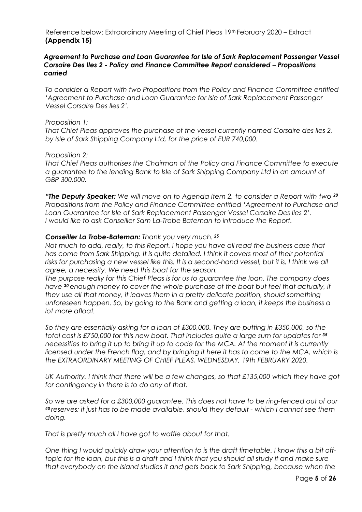Reference below: Extraordinary Meeting of Chief Pleas 19th February 2020 – Extract **(Appendix 15)**

### *Agreement to Purchase and Loan Guarantee for Isle of Sark Replacement Passenger Vessel Corsaire Des Iles 2 - Policy and Finance Committee Report considered – Propositions carried*

*To consider a Report with two Propositions from the Policy and Finance Committee entitled 'Agreement to Purchase and Loan Guarantee for Isle of Sark Replacement Passenger Vessel Corsaire Des Iles 2'.*

### *Proposition 1:*

*That Chief Pleas approves the purchase of the vessel currently named Corsaire des Iles 2, by Isle of Sark Shipping Company Ltd, for the price of EUR 740,000.*

### *Proposition 2:*

*That Chief Pleas authorises the Chairman of the Policy and Finance Committee to execute a guarantee to the lending Bank to Isle of Sark Shipping Company Ltd in an amount of GBP 300,000.*

*"The Deputy Speaker: We will move on to Agenda Item 2, to consider a Report with two <sup>20</sup> Propositions from the Policy and Finance Committee entitled 'Agreement to Purchase and Loan Guarantee for Isle of Sark Replacement Passenger Vessel Corsaire Des Iles 2'. I would like to ask Conseiller Sam La-Trobe Bateman to introduce the Report.*

### *Conseiller La Trobe-Bateman: Thank you very much. <sup>25</sup>*

*Not much to add, really, to this Report. I hope you have all read the business case that has come from Sark Shipping. It is quite detailed. I think it covers most of their potential*  risks for purchasing a new vessel like this. It is a second-hand vessel, but it is, I think we all *agree, a necessity. We need this boat for the season.*

*The purpose really for this Chief Pleas is for us to guarantee the loan. The company does have 30 enough money to cover the whole purchase of the boat but feel that actually, if they use all that money, it leaves them in a pretty delicate position, should something unforeseen happen. So, by going to the Bank and getting a loan, it keeps the business a lot more afloat.*

*So they are essentially asking for a loan of £300,000. They are putting in £350,000, so the total cost is £750,000 for this new boat. That includes quite a large sum for updates for <sup>35</sup> necessities to bring it up to bring it up to code for the MCA. At the moment it is currently licensed under the French flag, and by bringing it here it has to come to the MCA, which is the EXTRAORDINARY MEETING OF CHIEF PLEAS, WEDNESDAY, 19th FEBRUARY 2020.*

*UK Authority. I think that there will be a few changes, so that £135,000 which they have got for contingency in there is to do any of that.*

*So we are asked for a £300,000 guarantee. This does not have to be ring-fenced out of our <sup>40</sup>reserves; it just has to be made available, should they default - which I cannot see them doing.*

*That is pretty much all I have got to waffle about for that.*

*One thing I would quickly draw your attention to is the draft timetable. I know this a bit offtopic for the loan, but this is a draft and I think that you should all study it and make sure that everybody on the Island studies it and gets back to Sark Shipping, because when the*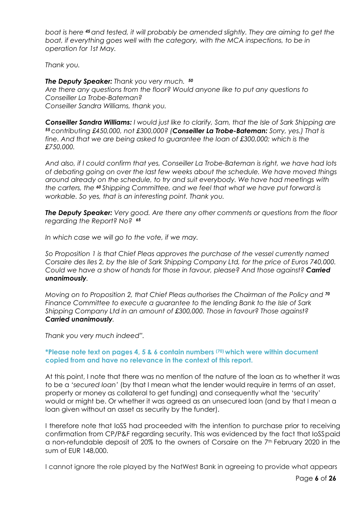*boat is here 45 and tested, it will probably be amended slightly. They are aiming to get the boat, if everything goes well with the category, with the MCA inspections, to be in operation for 1st May.*

*Thank you.*

*The Deputy Speaker: Thank you very much. <sup>50</sup> Are there any questions from the floor? Would anyone like to put any questions to Conseiller La Trobe-Bateman? Conseiller Sandra Williams, thank you.*

*Conseiller Sandra Williams: I would just like to clarify, Sam, that the Isle of Sark Shipping are <sup>55</sup>contributing £450,000, not £300,000? (Conseiller La Trobe-Bateman: Sorry, yes.) That is fine. And that we are being asked to guarantee the loan of £300,000; which is the £750,000.*

*And also, if I could confirm that yes, Conseiller La Trobe-Bateman is right, we have had lots of debating going on over the last few weeks about the schedule. We have moved things around already on the schedule, to try and suit everybody. We have had meetings with the carters, the 60 Shipping Committee, and we feel that what we have put forward is workable. So yes, that is an interesting point. Thank you.*

*The Deputy Speaker: Very good. Are there any other comments or questions from the floor regarding the Report? No? <sup>65</sup>*

*In which case we will go to the vote, if we may.*

*So Proposition 1 is that Chief Pleas approves the purchase of the vessel currently named Corsaire des Iles 2, by the Isle of Sark Shipping Company Ltd, for the price of Euros 740,000. Could we have a show of hands for those in favour, please? And those against? Carried unanimously.*

*Moving on to Proposition 2, that Chief Pleas authorises the Chairman of the Policy and <sup>70</sup> Finance Committee to execute a guarantee to the lending Bank to the Isle of Sark Shipping Company Ltd in an amount of £300,000. Those in favour? Those against? Carried unanimously.*

*Thank you very much indeed".*

# **\*Please note text on pages 4, 5 & 6 contain numbers (70) which were within document copied from and have no relevance in the context of this report.**

At this point, I note that there was no mention of the nature of the loan as to whether it was to be a *'secured loan'* (by that I mean what the lender would require in terms of an asset, property or money as collateral to get funding) and consequently what the 'security' would or might be. Or whether it was agreed as an unsecured loan (and by that I mean a loan given without an asset as security by the funder).

I therefore note that IoSS had proceeded with the intention to purchase prior to receiving confirmation from CP/P&F regarding security. This was evidenced by the fact that IoSSpaid a non-refundable deposit of 20% to the owners of Corsaire on the 7<sup>th</sup> February 2020 in the sum of EUR 148,000.

I cannot ignore the role played by the NatWest Bank in agreeing to provide what appears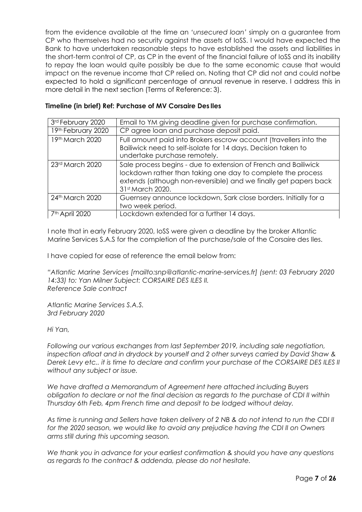from the evidence available at the time an *'unsecured loan'* simply on a guarantee from CP who themselves had no security against the assets of IoSS. I would have expected the Bank to have undertaken reasonable steps to have established the assets and liabilities in the short-term control of CP, as CP in the event of the financial failure of IoSS and its inability to repay the loan would quite possibly be due to the same economic cause that would impact on the revenue income that CP relied on. Noting that CP did not and could notbe expected to hold a significant percentage of annual revenue in reserve. I address this in more detail in the next section (Terms of Reference: 3).

# **Timeline (in brief) Ref: Purchase of MV Corsaire Des Iles**

| 3rd February 2020  | Email to YM giving deadline given for purchase confirmation.                                                                                                                                                          |
|--------------------|-----------------------------------------------------------------------------------------------------------------------------------------------------------------------------------------------------------------------|
| 19th February 2020 | CP agree loan and purchase deposit paid.                                                                                                                                                                              |
| 19th March 2020    | Full amount paid into Brokers escrow account (travellers into the<br>Bailiwick need to self-isolate for 14 days. Decision taken to<br>undertake purchase remotely.                                                    |
| 23rd March 2020    | Sale process begins - due to extension of French and Bailiwick<br>lockdown rather than taking one day to complete the process<br>extends (although non-reversible) and we finally get papers back<br>31st March 2020. |
| 24th March 2020    | Guernsey announce lockdown, Sark close borders. Initially for a<br>two week period.                                                                                                                                   |
|                    | Lockdown extended for a further 14 days.                                                                                                                                                                              |

I note that in early February 2020, IoSS were given a deadline by the broker Atlantic Marine Services S.A.S for the completion of the purchase/sale of the Corsaire des Iles.

I have copied for ease of reference the email below from:

*"Atlantic Marine Services [\[mailto:snp@atlantic-marine-services.fr\]](mailto:snp@atlantic-marine-services.fr) (sent: 03 February 2020 14:33) to: Yan Milner Subject: CORSAIRE DES ILES II. Reference Sale contract*

*Atlantic Marine Services S.A.S. 3rd February 2020*

*Hi Yan,*

*Following our various exchanges from last September 2019, including sale negotiation, inspection afloat and in drydock by yourself and 2 other surveys carried by David Shaw & Derek Levy etc.. it is time to declare and confirm your purchase of the CORSAIRE DES ILES II without any subject or issue.*

*We have drafted a Memorandum of Agreement here attached including Buyers obligation to declare or not the final decision as regards to the purchase of CDI II within Thursday 6th Feb, 4pm French time and deposit to be lodged without delay.*

*As time is running and Sellers have taken delivery of 2 NB & do not intend to run the CDI II for the 2020 season, we would like to avoid any prejudice having the CDI II on Owners arms still during this upcoming season.*

*We thank you in advance for your earliest confirmation & should you have any questions as regards to the contract & addenda, please do not hesitate.*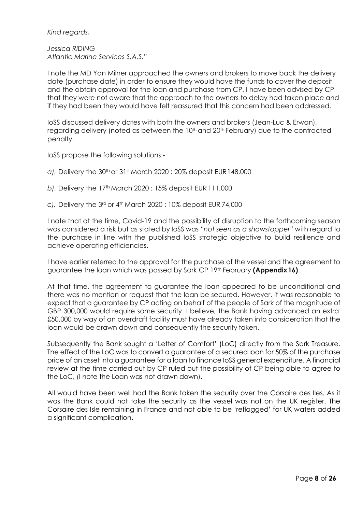*Kind regards,*

*Jessica RIDING Atlantic Marine Services S.A.S."*

I note the MD Yan Milner approached the owners and brokers to move back the delivery date (purchase date) in order to ensure they would have the funds to cover the deposit and the obtain approval for the loan and purchase from CP. I have been advised by CP that they were not aware that the approach to the owners to delay had taken place and if they had been they would have felt reassured that this concern had been addressed.

IoSS discussed delivery dates with both the owners and brokers (Jean-Luc & Erwan), regarding delivery (noted as between the 10<sup>th</sup> and 20<sup>th</sup> February) due to the contracted penalty.

IoSS propose the following solutions:-

- *a).* Delivery the 30th or 31st March 2020 : 20% deposit EUR148,000
- *b).* Delivery the 17th March 2020 : 15% deposit EUR 111,000
- *c).* Delivery the 3rd or 4th March 2020 : 10% deposit EUR 74,000

I note that at the time, Covid-19 and the possibility of disruption to the forthcoming season was considered a risk but as stated by IoSS was *"not seen as a showstopper"* with regard to the purchase in line with the published IoSS strategic objective to build resilience and achieve operating efficiencies.

I have earlier referred to the approval for the purchase of the vessel and the agreement to guarantee the loan which was passed by Sark CP 19th February **(Appendix16)**.

At that time, the agreement to guarantee the loan appeared to be unconditional and there was no mention or request that the loan be secured. However, it was reasonable to expect that a guarantee by CP acting on behalf of the people of Sark of the magnitude of GBP 300,000 would require some security. I believe, the Bank having advanced an extra £50,000 by way of an overdraft facility must have already taken into consideration that the loan would be drawn down and consequently the security taken.

Subsequently the Bank sought a 'Letter of Comfort' (LoC) directly from the Sark Treasure. The effect of the LoC was to convert a guarantee of a secured loan for 50% of the purchase price of an asset into a guarantee for a loan to finance IoSS general expenditure. A financial review at the time carried out by CP ruled out the possibility of CP being able to agree to the LoC, (I note the Loan was not drawn down).

All would have been well had the Bank taken the security over the Corsaire des Iles. As it was the Bank could not take the security as the vessel was not on the UK register. The Corsaire des Isle remaining in France and not able to be 'reflagged' for UK waters added a significant complication.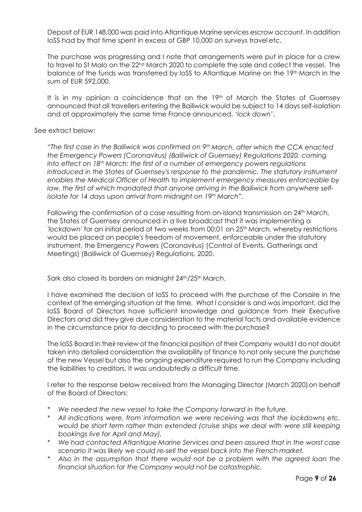Deposit of EUR 148,000 was paid into Atlantique Marine services escrow account. In addition IoSS had by that time spent in excess of GBP 10,000 on surveys travel etc.

The purchase was progressing and I note that arrangements were put in place for a crew to travel to St Malo on the 22<sup>nd</sup> March 2020 to complete the sale and collect the vessel. The balance of the funds was transferred by IoSS to Atlantique Marine on the 19th March in the sum of EUR 592,000.

It is in my opinion a coincidence that on the 19th of March the States of Guernsey announced that all travellers entering the Bailiwick would be subject to 14 days self-isolation and at approximately the same time France announced, *'lock down*'.

### See extract below:

*"The first case in the Bailiwick was confirmed on 9th March, after which the CCA enacted the Emergency Powers (Coronavirus) (Bailiwick of Guernsey) Regulations 2020, coming into effect on 18th March: the first of a number of emergency powers regulations introduced in the States of Guernsey's response to the pandemic. The statutory instrument enables the Medical Officer of Health to implement emergency measures enforceable by law, the first of which mandated that anyone arriving in the Bailiwick from anywhere selfisolate for 14 days upon arrival from midnight on 19th March".*

Following the confirmation of a case resulting from on-island transmission on 24<sup>th</sup> March, the States of Guernsey announced in a live broadcast that it was implementing a 'lockdown' for an initial period of two weeks from 00:01 on 25<sup>th</sup> March, whereby restrictions would be placed on people's freedom of movement, enforceable under the statutory instrument, the Emergency Powers (Coronavirus) (Control of Events, Gatherings and Meetings) (Bailiwick of Guernsey) Regulations, 2020.

Sark also closed its borders on midnight 24<sup>th</sup>/25<sup>th</sup> March.

I have examined the decision of IoSS to proceed with the purchase of the Corsaire in the context of the emerging situation at the time. What I consider is and was important, did the IoSS Board of Directors have sufficient knowledge and guidance from their Executive Directors and did they give due consideration to the material facts and available evidence in the circumstance prior to deciding to proceed with the purchase?

The IoSS Board in their review of the financial position of their Company would I do not doubt taken into detailed consideration the availability of finance to not only secure the purchase of the new Vessel but also the ongoing expenditure required to run the Company including the liabilities to creditors. It was undoubtedly a difficult time.

I refer to the response below received from the Managing Director (March 2020) on behalf of the Board of Directors:

- \* *We needed the new vessel to take the Company forward in the future.*
- \* *All indications were, from information we were receiving was that the lockdowns etc. would be short term rather than extended (cruise ships we deal with were still keeping bookings live for April and May).*
- \* *We had contacted Atlantique Marine Services and been assured that in the worst case scenario it was likely we could re-sell the vessel back into the French market.*
- Also in the assumption that there would not be a problem with the agreed loan the *financial situation for the Company would not be catastrophic.*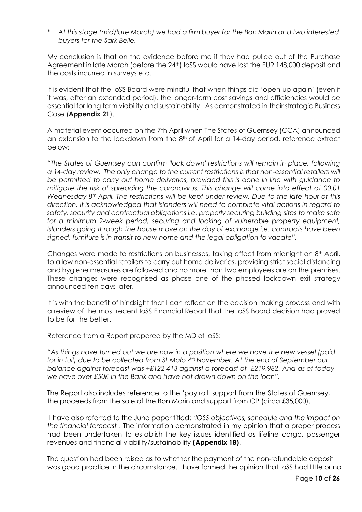\* *At this stage (mid/late March) we had a firm buyer for the Bon Marin and two interested buyers for the Sark Belle.*

My conclusion is that on the evidence before me if they had pulled out of the Purchase Agreement in late March (before the 24<sup>th</sup>) IoSS would have lost the EUR 148,000 deposit and the costs incurred in surveys etc.

It is evident that the IoSS Board were mindful that when things did 'open up again' (even if it was, after an extended period), the longer-term cost savings and efficiencies would be essential for long term viability and sustainability. As demonstrated in their strategic Business Case (**Appendix 21**).

A material event occurred on the 7th April when The States of Guernsey (CCA) announced an extension to the lockdown from the 8<sup>th</sup> of April for a 14-day period, reference extract below:

*"The States of Guernsey can confirm 'lock down' restrictions will remain in place, following a 14-day review. The only change to the current restrictions is that non-essential retailers will be permitted to carry out home deliveries, provided this is done in line with guidance to mitigate the risk of spreading the coronavirus. This change will come into effect at 00.01 Wednesday 8th April. The restrictions will be kept under review. Due to the late hour of this direction, it is acknowledged that Islanders will need to complete vital actions in regard to safety, security and contractual obligations i.e. properly securing building sites to make safe for a minimum 2-week period, securing and locking of vulnerable property equipment, Islanders going through the house move on the day of exchange i.e. contracts have been signed, furniture is in transit to new home and the legal obligation to vacate".*

Changes were made to restrictions on businesses, taking effect from midnight on 8th April, to allow non-essential retailers to carry out home deliveries, providing strict social distancing and hygiene measures are followed and no more than two employees are on the premises. These changes were recognised as phase one of the phased lockdown exit strategy announced ten days later.

It is with the benefit of hindsight that I can reflect on the decision making process and with a review of the most recent IoSS Financial Report that the IoSS Board decision had proved to be for the better.

Reference from a Report prepared by the MD of IoSS:

*"As things have turned out we are now in a position where we have the new vessel (paid for in full) due to be collected from St Malo 4<sup>th</sup> November. At the end of September our balance against forecast was +£122,413 against a forecast of -£219,982. And as of today we have over £50K in the Bank and have not drawn down on the loan".*

The Report also includes reference to the 'pay roll' support from the States of Guernsey, the proceeds from the sale of the Bon Marin and support from CP (circa £35,000).

I have also referred to the June paper titled: '*IOSS objectives, schedule and the impact on the financial forecast'*. The information demonstrated in my opinion that a proper process had been undertaken to establish the key issues identified as lifeline cargo, passenger revenues and financial viability/sustainability **(Appendix 18)**.

The question had been raised as to whether the payment of the non-refundable deposit was good practice in the circumstance. I have formed the opinion that IoSS had little or no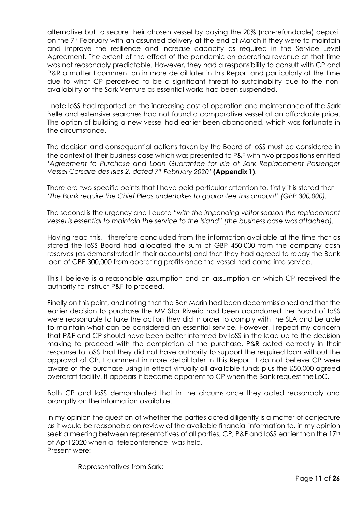alternative but to secure their chosen vessel by paying the 20% (non-refundable) deposit on the 7<sup>th</sup> February with an assumed delivery at the end of March if they were to maintain and improve the resilience and increase capacity as required in the Service Level Agreement. The extent of the effect of the pandemic on operating revenue at that time was not reasonably predictable. However, they had a responsibility to consult with CP and P&R a matter I comment on in more detail later in this Report and particularly at the time due to what CP perceived to be a significant threat to sustainability due to the nonavailability of the Sark Venture as essential works had been suspended.

I note IoSS had reported on the increasing cost of operation and maintenance of the Sark Belle and extensive searches had not found a comparative vessel at an affordable price. The option of building a new vessel had earlier been abandoned, which was fortunate in the circumstance.

The decision and consequential actions taken by the Board of IoSS must be considered in the context of their business case which was presented to P&F with two propositions entitled *'Agreement to Purchase and Loan Guarantee for Isle of Sark Replacement Passenger Vessel Corsaire des Isles 2, dated 7th February 2020'* **(Appendix 1)**.

There are two specific points that I have paid particular attention to, firstly it is stated that *'The Bank require the Chief Pleas undertakes to guarantee this amount' (GBP 300,000).*

The second is the urgency and I quote *"with the impending visitor season the replacement vessel is essential to maintain the service to the Island" (the business case wasattached).*

Having read this, I therefore concluded from the information available at the time that as stated the IoSS Board had allocated the sum of GBP 450,000 from the company cash reserves (as demonstrated in their accounts) and that they had agreed to repay the Bank loan of GBP 300,000 from operating profits once the vessel had come into service.

This I believe is a reasonable assumption and an assumption on which CP received the authority to instruct P&F to proceed.

Finally on this point, and noting that the Bon Marin had been decommissioned and that the earlier decision to purchase the MV Star Riveria had been abandoned the Board of IoSS were reasonable to take the action they did in order to comply with the SLA and be able to maintain what can be considered an essential service. However, I repeat my concern that P&F and CP should have been better informed by IoSS in the lead up to the decision making to proceed with the completion of the purchase. P&R acted correctly in their response to IoSS that they did not have authority to support the required loan without the approval of CP. I comment in more detail later in this Report. I do not believe CP were aware of the purchase using in effect virtually all available funds plus the £50,000 agreed overdraft facility. It appears it became apparent to CP when the Bank request theLoC.

Both CP and IoSS demonstrated that in the circumstance they acted reasonably and promptly on the information available.

In my opinion the question of whether the parties acted diligently is a matter of conjecture as it would be reasonable on review of the available financial information to, in my opinion seek a meeting between representatives of all parties, CP, P&F and loSS earlier than the 17th of April 2020 when a 'teleconference' was held. Present were:

Representatives from Sark: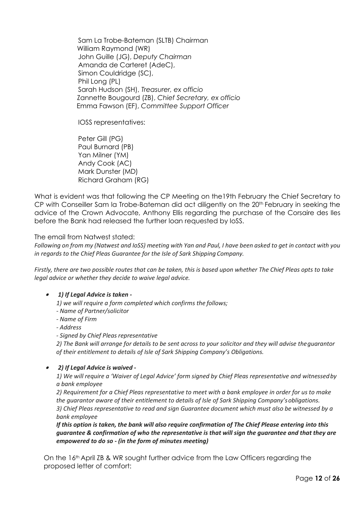Sam La Trobe-Bateman (SLTB) Chairman William Raymond (WR) John Guille (JG), *Deputy Chairman*  Amanda de Carteret (AdeC), Simon Couldridge (SC), Phil Long (PL) Sarah Hudson (SH), *Treasurer, ex officio* Zannette Bougourd (ZB), *Chief Secretary, ex officio* Emma Fawson (EF), *Committee Support Officer*

IOSS representatives:

Peter Gill (PG) Paul Burnard (PB) Yan Milner (YM) Andy Cook (AC) Mark Dunster (MD) Richard Graham (RG)

What is evident was that following the CP Meeting on the19th February the Chief Secretary to CP with Conseiller Sam la Trobe-Bateman did act diligently on the 20th February in seeking the advice of the Crown Advocate, Anthony Ellis regarding the purchase of the Corsaire des Iles before the Bank had released the further loan requested by IoSS.

The email from Natwest stated:

Following on from my (Natwest and IoSS) meeting with Yan and Paul, I have been asked to get in contact with you *in regards to the Chief Pleas Guarantee for the Isle of Sark Shipping Company.*

*Firstly, there are two possible routes that can be taken, this is based upon whether The Chief Pleas opts to take legal advice or whether they decide to waive legal advice.*

#### •*1) If Legal Advice is taken -*

*1) we will require a form completed which confirms the follows;*

- *- Name of Partner/solicitor*
- *- Name of Firm*

*- Address*

*- Signed by Chief Pleas representative*

*2) The Bank will arrange for details to be sent across to your solicitor and they will advise theguarantor of their entitlement to details of Isle of Sark Shipping Company's Obligations.*

### • *2) If Legal Advice is waived -*

*1) We will require a 'Waiver of Legal Advice' form signed by Chief Pleas representative and witnessedby a bank employee*

*2) Requirement for a Chief Pleas representative to meet with a bank employee in order for us to make the guarantor aware of their entitlement to details of Isle of Sark Shipping Company'sobligations. 3) Chief Pleas representative to read and sign Guarantee document which must also be witnessed by a bank employee*

*If this option is taken, the bank will also require confirmation of The Chief Please entering into this guarantee & confirmation of who the representative is that will sign the guarantee and that they are empowered to do so - (in the form of minutes meeting)*

On the 16th April ZB & WR sought further advice from the Law Officers regarding the proposed letter of comfort: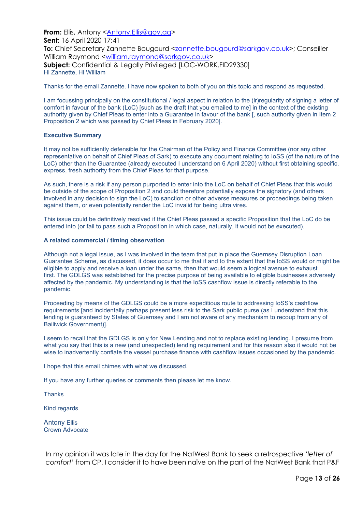**From:** Ellis, Antony [<Antony.Ellis@gov.gg>](mailto:Antony.Ellis@gov.gg) **Sent:** 16 April 2020 17:41 **To:** Chief Secretary Zannette Bougourd [<zannette.bougourd@sarkgov.co.uk>](mailto:zannette.bougourd@sarkgov.co.uk); Conseiller William Raymond [<william.raymond@sarkgov.co.uk>](mailto:william.raymond@sarkgov.co.uk) **Subject:** Confidential & Legally Privileged [LOC-WORK.FID29330] Hi Zannette, Hi William

Thanks for the email Zannette. I have now spoken to both of you on this topic and respond as requested.

I am focussing principally on the constitutional / legal aspect in relation to the (ir)regularity of signing a letter of comfort in favour of the bank (LoC) [such as the draft that you emailed to me] in the context of the existing authority given by Chief Pleas to enter into a Guarantee in favour of the bank [, such authority given in Item 2 Proposition 2 which was passed by Chief Pleas in February 2020].

### **Executive Summary**

It may not be sufficiently defensible for the Chairman of the Policy and Finance Committee (nor any other representative on behalf of Chief Pleas of Sark) to execute any document relating to IoSS (of the nature of the LoC) other than the Guarantee (already executed I understand on 6 April 2020) without first obtaining specific, express, fresh authority from the Chief Pleas for that purpose.

As such, there is a risk if any person purported to enter into the LoC on behalf of Chief Pleas that this would be outside of the scope of Proposition 2 and could therefore potentially expose the signatory (and others involved in any decision to sign the LoC) to sanction or other adverse measures or proceedings being taken against them, or even potentially render the LoC invalid for being ultra vires.

This issue could be definitively resolved if the Chief Pleas passed a specific Proposition that the LoC do be entered into (or fail to pass such a Proposition in which case, naturally, it would not be executed).

### **A related commercial / timing observation**

Although not a legal issue, as I was involved in the team that put in place the Guernsey Disruption Loan Guarantee Scheme, as discussed, it does occur to me that if and to the extent that the IoSS would or might be eligible to apply and receive a loan under the same, then that would seem a logical avenue to exhaust first. The GDLGS was established for the precise purpose of being available to eligible businesses adversely affected by the pandemic. My understanding is that the IoSS cashflow issue is directly referable to the pandemic.

Proceeding by means of the GDLGS could be a more expeditious route to addressing IoSS's cashflow requirements [and incidentally perhaps present less risk to the Sark public purse (as I understand that this lending is guaranteed by States of Guernsey and I am not aware of any mechanism to recoup from any of Bailiwick Government)].

I seem to recall that the GDLGS is only for New Lending and not to replace existing lending. I presume from what you say that this is a new (and unexpected) lending requirement and for this reason also it would not be wise to inadvertently conflate the vessel purchase finance with cashflow issues occasioned by the pandemic.

I hope that this email chimes with what we discussed.

If you have any further queries or comments then please let me know.

**Thanks** 

Kind regards

Antony Ellis Crown Advocate

In my opinion it was late in the day for the NatWest Bank to seek a retrospective *'letter of comfort'* from CP. I consider it to have been naïve on the part of the NatWest Bank that P&F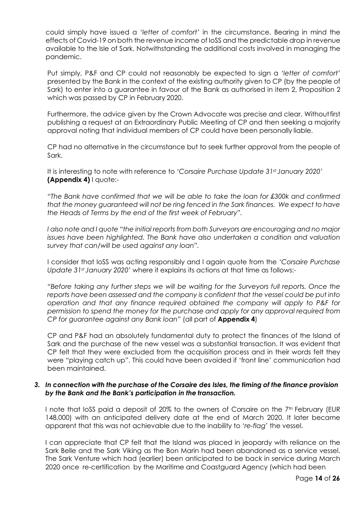could simply have issued a *'letter of comfort'* in the circumstance. Bearing in mind the effects of Covid-19 on both the revenue income of IoSS and the predictable drop in revenue available to the Isle of Sark. Notwithstanding the additional costs involved in managing the pandemic.

Put simply, P&F and CP could not reasonably be expected to sign a *'letter of comfort'*  presented by the Bank in the context of the existing authority given to CP (by the people of Sark) to enter into a guarantee in favour of the Bank as authorised in item 2, Proposition 2 which was passed by CP in February 2020.

Furthermore, the advice given by the Crown Advocate was precise and clear. Withoutfirst publishing a request at an Extraordinary Public Meeting of CP and then seeking a majority approval noting that individual members of CP could have been personally liable.

CP had no alternative in the circumstance but to seek further approval from the people of Sark.

It is interesting to note with reference to *'Corsaire Purchase Update 31st January 2020'* **(Appendix 4)** I quote:-

*"The Bank have confirmed that we will be able to take the loan for £300k and confirmed that the money guaranteed will not be ring fenced in the Sark finances. We expect to have the Heads of Terms by the end of the first week of February".*

*I also note and I quote "the initial reports from both Surveyors are encouraging and no major issues have been highlighted. The Bank have also undertaken a condition and valuation survey that can/will be used against any loan".*

I consider that IoSS was acting responsibly and I again quote from the *'Corsaire Purchase Update 31st January 2020'* where it explains its actions at that time as follows:-

*"Before taking any further steps we will be waiting for the Surveyors full reports. Once the reports have been assessed and the company is confident that the vessel could be put into operation and that any finance required obtained the company will apply to P&F for permission to spend the money for the purchase and apply for any approval required from CP for guarantee against any Bank loan"* (all part of **Appendix 4**)

CP and P&F had an absolutely fundamental duty to protect the finances of the Island of Sark and the purchase of the new vessel was a substantial transaction. It was evident that CP felt that they were excluded from the acquisition process and in their words felt they were "playing catch up". This could have been avoided if 'front line' communication had been maintained.

# *3. In connection with the purchase of the Corsaire des Isles, the timing of the finance provision by the Bank and the Bank's participation in the transaction.*

I note that IoSS paid a deposit of 20% to the owners of Corsaire on the  $7<sup>th</sup>$  February (EUR 148,000) with an anticipated delivery date at the end of March 2020. It later became apparent that this was not achievable due to the inability to *'re-flag*' the vessel.

I can appreciate that CP felt that the Island was placed in jeopardy with reliance on the Sark Belle and the Sark Viking as the Bon Marin had been abandoned as a service vessel. The Sark Venture which had (earlier) been anticipated to be back in service during March 2020 once re-certification by the Maritime and Coastguard Agency (which had been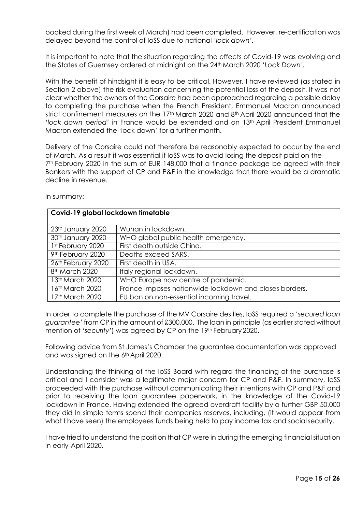booked during the first week of March) had been completed. However, re-certification was delayed beyond the control of IoSS due to national *'lock down'.*

It is important to note that the situation regarding the effects of Covid-19 was evolving and the States of Guernsey ordered at midnight on the 24th March 2020 '*Lock Down'.*

With the benefit of hindsight it is easy to be critical. However, I have reviewed (as stated in Section 2 above) the risk evaluation concerning the potential loss of the deposit. It was not clear whether the owners of the Corsaire had been approached regarding a possible delay to completing the purchase when the French President, Emmanuel Macron announced strict confinement measures on the 17<sup>th</sup> March 2020 and 8<sup>th</sup> April 2020 announced that the *'lock down period'* in France would be extended and on 13th April President Emmanuel Macron extended the 'lock down' for a further month.

Delivery of the Corsaire could not therefore be reasonably expected to occur by the end of March. As a result it was essential if IoSS was to avoid losing the deposit paid on the 7<sup>th</sup> February 2020 in the sum of EUR 148,000 that a finance package be agreed with their Bankers with the support of CP and P&F in the knowledge that there would be a dramatic decline in revenue.

| 23rd January 2020           | Wuhan in lockdown.                                     |
|-----------------------------|--------------------------------------------------------|
| 30th January 2020           | WHO global public health emergency.                    |
| 1st February 2020           | First death outside China.                             |
| 9th February 2020           | Deaths exceed SARS.                                    |
| 26th February 2020          | First death in USA.                                    |
| 8 <sup>th</sup> March 2020  | Italy regional lockdown.                               |
| 13th March 2020             | WHO Europe now centre of pandemic.                     |
| 16th March 2020             | France imposes nationwide lockdown and closes borders. |
| 17 <sup>th</sup> March 2020 | EU ban on non-essential incoming travel.               |

In summary:

**Covid-19 global lockdown timetable**

In order to complete the purchase of the MV Corsaire des Iles, IoSS required a '*secured loan guarantee'* from CP in the amount of £300,000. The loan in principle (as earlier stated without mention of 'security') was agreed by CP on the 19<sup>th</sup> February 2020.

Following advice from St James's Chamber the guarantee documentation was approved and was signed on the 6<sup>th</sup> April 2020.

Understanding the thinking of the IoSS Board with regard the financing of the purchase is critical and I consider was a legitimate major concern for CP and P&F. In summary, IoSS proceeded with the purchase without communicating their intentions with CP and P&F and prior to receiving the loan guarantee paperwork, in the knowledge of the Covid-19 lockdown in France. Having extended the agreed overdraft facility by a further GBP 50,000 they did In simple terms spend their companies reserves, including, (it would appear from what I have seen) the employees funds being held to pay income tax and social security.

I have tried to understand the position that CP were in during the emerging financial situation in early-April 2020.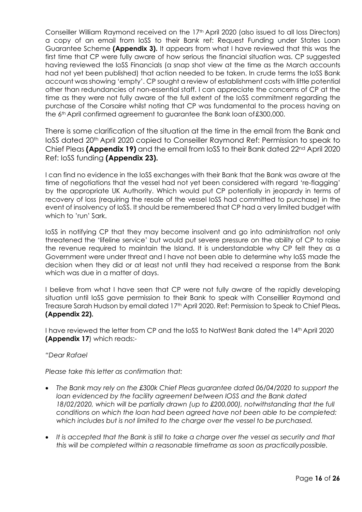Conseiller William Raymond received on the 17th April 2020 (also issued to all Ioss Directors) a copy of an email from IoSS to their Bank ref: Request Funding under States Loan Guarantee Scheme **(Appendix 3).** It appears from what I have reviewed that this was the first time that CP were fully aware of how serious the financial situation was. CP suggested having reviewed the IoSS Financials (a snap shot view at the time as the March accounts had not yet been published) that action needed to be taken. In crude terms the IoSS Bank account was showing 'empty'. CP sought a review of establishment costs with little potential other than redundancies of non-essential staff. I can appreciate the concerns of CP at the time as they were not fully aware of the full extent of the IoSS commitment regarding the purchase of the Corsaire whilst noting that CP was fundamental to the process having on the 6th April confirmed agreement to guarantee the Bank loan of£300,000.

There is some clarification of the situation at the time in the email from the Bank and IoSS dated 20th April 2020 copied to Conseiller Raymond Ref: Permission to speak to Chief Pleas **(Appendix 19)** and the email from IoSS to their Bank dated 22nd April 2020 Ref: IoSS funding **(Appendix 23).**

I can find no evidence in the IoSS exchanges with their Bank that the Bank was aware at the time of negotiations that the vessel had not yet been considered with regard 're-flagging' by the appropriate UK Authority. Which would put CP potentially in jeopardy in terms of recovery of loss (requiring the resale of the vessel IoSS had committed to purchase) in the event of insolvency of IoSS. It should be remembered that CP had a very limited budget with which to 'run' Sark.

IoSS in notifying CP that they may become insolvent and go into administration not only threatened the 'lifeline service' but would put severe pressure on the ability of CP to raise the revenue required to maintain the Island. It is understandable why CP felt they as a Government were under threat and I have not been able to determine why IoSS made the decision when they did or at least not until they had received a response from the Bank which was due in a matter of days.

I believe from what I have seen that CP were not fully aware of the rapidly developing situation until IoSS gave permission to their Bank to speak with Conseillier Raymond and Treasure Sarah Hudson by email dated 17th April 2020. Ref: Permission to Speak to Chief Pleas**. (Appendix 22).**

I have reviewed the letter from CP and the IoSS to NatWest Bank dated the 14th April 2020 **(Appendix 17**) which reads:-

### *"Dear Rafael*

*Please take this letter as confirmation that:*

- *The Bank may rely on the £300k Chief Pleas guarantee dated 06/04/2020 to support the loan evidenced by the facility agreement between IOSS and the Bank dated 18/02/2020, which will be partially drawn (up to £200,000), notwithstanding that the full conditions on which the loan had been agreed have not been able to be completed: which includes but is not limited to the charge over the vessel to be purchased.*
- *It is accepted that the Bank is still to take a charge over the vessel as security and that this will be completed within a reasonable timeframe as soon as practicallypossible.*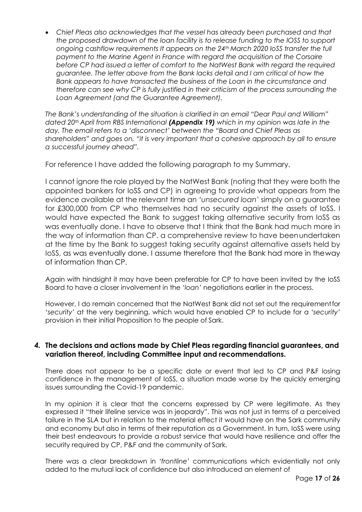• *Chief Pleas also acknowledges that the vessel has already been purchased and that the proposed drawdown of the loan facility is to release funding to the IOSS to support ongoing cashflow requirements It appears on the 24th March 2020 IoSS transfer the full payment to the Marine Agent in France with regard the acquisition of the Corsaire before CP had issued a letter of comfort to the NatWest Bank with regard the required guarantee. The letter above from the Bank lacks detail and I am critical of how the Bank appears to have transacted the business of the Loan in the circumstance and therefore can see why CP is fully justified in their criticism of the process surrounding the Loan Agreement (and the Guarantee Agreement).*

*The Bank's understanding of the situation is clarified in an email "Dear Paul and William" dated 20th April from RBS International (Appendix 19) which in my opinion was late in the day. The email refers to a 'disconnect' between the "Board and Chief Pleas as shareholders" and goes on, "it is very important that a cohesive approach by all to ensure a successful journey ahead".*

For reference I have added the following paragraph to my Summary.

I cannot ignore the role played by the NatWest Bank (noting that they were both the appointed bankers for IoSS and CP) in agreeing to provide what appears from the evidence available at the relevant time an *'unsecured loan'* simply on a guarantee for £300,000 from CP who themselves had no security against the assets of IoSS. I would have expected the Bank to suggest taking alternative security from IoSS as was eventually done. I have to observe that I think that the Bank had much more in the way of information than CP. a comprehensive review to have beenundertaken at the time by the Bank to suggest taking security against alternative assets held by IoSS, as was eventually done. I assume therefore that the Bank had more in theway of information than CP.

Again with hindsight it may have been preferable for CP to have been invited by the IoSS Board to have a closer involvement in the *'loan'* negotiations earlier in the process.

However, I do remain concerned that the NatWest Bank did not set out the requirementfor *'security'* at the very beginning, which would have enabled CP to include for a *'security'*  provision in their initial Proposition to the people of Sark.

# *4.* **The decisions and actions made by Chief Pleas regarding financial guarantees, and variation thereof, including Committee input and recommendations.**

There does not appear to be a specific date or event that led to CP and P&F losing confidence in the management of IoSS, a situation made worse by the quickly emerging issues surrounding the Covid-19 pandemic.

In my opinion it is clear that the concerns expressed by CP were legitimate. As they expressed it "their lifeline service was in jeopardy". This was not just in terms of a perceived failure in the SLA but in relation to the material effect it would have on the Sark community and economy but also in terms of their reputation as a Government. In turn, IoSS were using their best endeavours to provide a robust service that would have resilience and offer the security required by CP, P&F and the community of Sark.

There was a clear breakdown in *'frontline*' communications which evidentially not only added to the mutual lack of confidence but also introduced an element of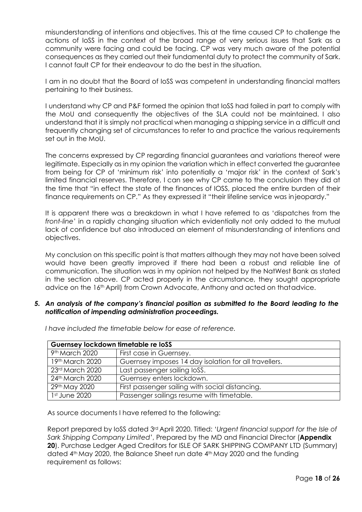misunderstanding of intentions and objectives. This at the time caused CP to challenge the actions of IoSS in the context of the broad range of very serious issues that Sark as a community were facing and could be facing. CP was very much aware of the potential consequences as they carried out their fundamental duty to protect the community of Sark. I cannot fault CP for their endeavour to do the best in the situation.

I am in no doubt that the Board of IoSS was competent in understanding financial matters pertaining to their business.

I understand why CP and P&F formed the opinion that IoSS had failed in part to comply with the MoU and consequently the objectives of the SLA could not be maintained. I also understand that it is simply not practical when managing a shipping service in a difficult and frequently changing set of circumstances to refer to and practice the various requirements set out in the MoU.

The concerns expressed by CP regarding financial guarantees and variations thereof were legitimate. Especially as in my opinion the variation which in effect converted the guarantee from being for CP of 'minimum risk' into potentially a 'major risk' in the context of Sark's limited financial reserves. Therefore, I can see why CP came to the conclusion they did at the time that "in effect the state of the finances of IOSS, placed the entire burden of their finance requirements on CP." As they expressed it "their lifeline service was in jeopardy."

It is apparent there was a breakdown in what I have referred to as 'dispatches from the *front-line*' in a rapidly changing situation which evidentially not only added to the mutual lack of confidence but also introduced an element of misunderstanding of intentions and objectives.

My conclusion on this specific point is that matters although they may not have been solved would have been greatly improved if there had been a robust and reliable line of communication. The situation was in my opinion not helped by the NatWest Bank as stated in the section above. CP acted properly in the circumstance, they sought appropriate advice on the 16th April) from Crown Advocate, Anthony and acted on thatadvice.

### *5. An analysis of the company's financial position as submitted to the Board leading to the notification of impending administration proceedings.*

| Guernsey lockdown timetable re loSS |                                                       |  |
|-------------------------------------|-------------------------------------------------------|--|
| 9th March 2020                      | First case in Guernsey.                               |  |
| 19th March 2020                     | Guernsey imposes 14 day isolation for all travellers. |  |
| 23rd March 2020                     | Last passenger sailing loSS.                          |  |
| 24th March 2020                     | Guernsey enters lockdown.                             |  |
| 29th May 2020                       | First passenger sailing with social distancing.       |  |
| 1st June 2020                       | Passenger sailings resume with timetable.             |  |

*I have included the timetable below for ease of reference.*

As source documents I have referred to the following:

Report prepared by IoSS dated 3rd April 2020. Titled: '*Urgent financial support for the Isle of Sark Shipping Company Limited'*, Prepared by the MD and Financial Director (**Appendix 20**). Purchase Ledger Aged Creditors for ISLE OF SARK SHIPPING COMPANY LTD (Summary) dated 4th May 2020, the Balance Sheet run date 4th May 2020 and the funding requirement as follows: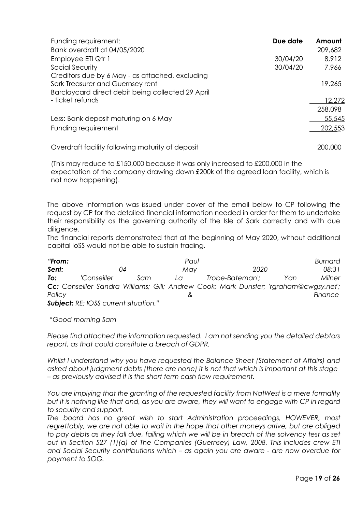| Funding requirement:                                                                                                                     | Due date | Amount  |
|------------------------------------------------------------------------------------------------------------------------------------------|----------|---------|
| Bank overdraft at 04/05/2020                                                                                                             |          | 209,682 |
| Employee ETI Qtr 1                                                                                                                       | 30/04/20 | 8,912   |
| Social Security                                                                                                                          | 30/04/20 | 7,966   |
| Creditors due by 6 May - as attached, excluding<br>Sark Treasurer and Guernsey rent<br>Barclaycard direct debit being collected 29 April |          | 19,265  |
| - ticket refunds                                                                                                                         |          | 12,272  |
|                                                                                                                                          |          | 258,098 |
| Less: Bank deposit maturing on 6 May                                                                                                     |          | 55,545  |
| Funding requirement                                                                                                                      |          | 202,553 |
|                                                                                                                                          |          |         |

Overdraft facility following maturity of deposit 200,000

(This may reduce to £150,000 because it was only increased to £200,000 in the expectation of the company drawing down £200k of the agreed loan facility, which is not now happening).

The above information was issued under cover of the email below to CP following the request by CP for the detailed financial information needed in order for them to undertake their responsibility as the governing authority of the Isle of Sark correctly and with due diligence.

The financial reports demonstrated that at the beginning of May 2020, without additional capital IoSS would not be able to sustain trading.

*"From: Paul Burnard Sent: 04 May 2020 08:31 To: 'Conseiller Sam La Trobe-Bateman'; Yan Milner Cc: Conseiller Sandra Williams; Gill; Andrew Cook; Mark Dunster; 'rgraham@cwgsy.net'; Policy & Finance Subject: RE: IOSS current situation."*

*"Good morning Sam*

*Please find attached the information requested. I am not sending you the detailed debtors report, as that could constitute a breach of GDPR.*

*Whilst I understand why you have requested the Balance Sheet (Statement of Affairs) and asked about judgment debts (there are none) it is not that which is important at this stage – as previously advised it is the short term cash flow requirement.*

*You are implying that the granting of the requested facility from NatWest is a mere formality*  but it is nothing like that and, as you are aware, they will want to engage with CP in regard *to security and support.*

*The board has no great wish to start Administration proceedings, HOWEVER, most regrettably, we are not able to wait in the hope that other moneys arrive, but are obliged*  to pay debts as they fall due, failing which we will be in breach of the solvency test as set *out in Section 527 (1)(a) of The Companies (Guernsey) Law, 2008. This includes crew ETI and Social Security contributions which – as again you are aware - are now overdue for payment to SOG.*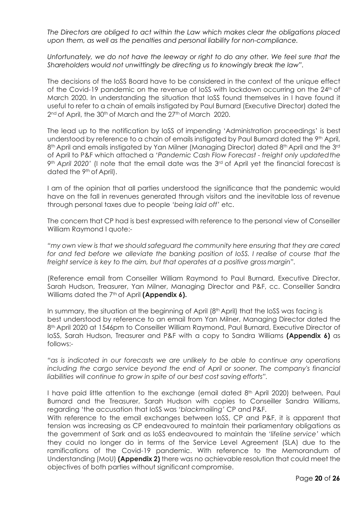*The Directors are obliged to act within the Law which makes clear the obligations placed upon them, as well as the penalties and personal liability for non-compliance.*

*Unfortunately, we do not have the leeway or right to do any other. We feel sure that the Shareholders would not unwittingly be directing us to knowingly break the law".*

The decisions of the IoSS Board have to be considered in the context of the unique effect of the Covid-19 pandemic on the revenue of loSS with lockdown occurring on the 24<sup>th</sup> of March 2020. In understanding the situation that IoSS found themselves in I have found it useful to refer to a chain of emails instigated by Paul Burnard (Executive Director) dated the 2<sup>nd</sup> of April, the 30<sup>th</sup> of March and the 27<sup>th</sup> of March 2020.

The lead up to the notification by IoSS of impending 'Administration proceedings' is best understood by reference to a chain of emails instigated by Paul Burnard dated the 9th April, 8<sup>th</sup> April and emails instigated by Yan Milner (Managing Director) dated 8<sup>th</sup> April and the 3<sup>rd</sup> of April to P&F which attached a *'Pandemic Cash Flow Forecast - freight only updatedthe 9th April 2020'* (I note that the email date was the 3rd of April yet the financial forecast is dated the 9th of April).

I am of the opinion that all parties understood the significance that the pandemic would have on the fall in revenues generated through visitors and the inevitable loss of revenue through personal taxes due to people *'being laid off'* etc.

The concern that CP had is best expressed with reference to the personal view of Conseiller William Raymond I quote:-

*"my own view is that we should safeguard the community here ensuring that they are cared*  for and fed before we alleviate the banking position of loSS. I realise of course that the *freight service is key to the aim, but that operates at a positive gross margin".*

(Reference email from Conseiller William Raymond to Paul Burnard, Executive Director, Sarah Hudson, Treasurer, Yan Milner, Managing Director and P&F, cc. Conseiller Sandra Williams dated the 7<sup>th</sup> of April **(Appendix 6).** 

In summary, the situation at the beginning of April (8th April) that the IoSS was facing is best understood by reference to an email from Yan Milner, Managing Director dated the 8th April 2020 at 1546pm to Conseiller William Raymond, Paul Burnard, Executive Director of IoSS, Sarah Hudson, Treasurer and P&F with a copy to Sandra Williams **(Appendix 6)** as follows:-

*"as is indicated in our forecasts we are unlikely to be able to continue any operations*  including the cargo service beyond the end of April or sooner. The company's financial *liabilities will continue to grow in spite of our best cost saving efforts".*

I have paid little attention to the exchange (email dated 8<sup>th</sup> April 2020) between, Paul Burnard and the Treasurer, Sarah Hudson with copies to Conseiller Sandra Williams, regarding 'the accusation that IoSS was *'blackmailing'* CP and P&F.

With reference to the email exchanges between IoSS, CP and P&F, it is apparent that tension was increasing as CP endeavoured to maintain their parliamentary obligations as the government of Sark and as IoSS endeavoured to maintain the *'lifeline service'* which they could no longer do in terms of the Service Level Agreement (SLA) due to the ramifications of the Covid-19 pandemic. With reference to the Memorandum of Understanding (MoU) **(Appendix 2)** there was no achievable resolution that could meet the objectives of both parties without significant compromise.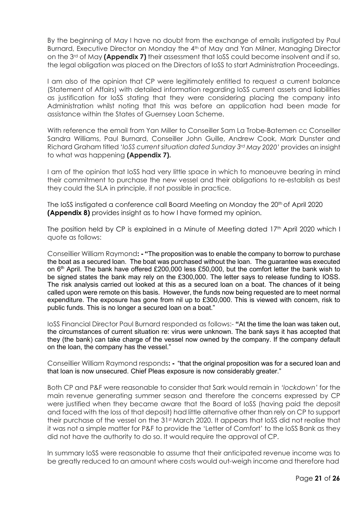By the beginning of May I have no doubt from the exchange of emails instigated by Paul Burnard, Executive Director on Monday the 4<sup>th</sup> of May and Yan Milner, Managing Director on the 3rd of May **(Appendix 7)** their assessment that IoSS could become insolvent and if so, the legal obligation was placed on the Directors of IoSS to start Administration Proceedings.

I am also of the opinion that CP were legitimately entitled to request a current balance (Statement of Affairs) with detailed information regarding IoSS current assets and liabilities as justification for IoSS stating that they were considering placing the company into Administration whilst noting that this was before an application had been made for assistance within the States of Guernsey Loan Scheme.

With reference the email from Yan Miller to Conseiller Sam La Trobe-Batemen cc Conseiller Sandra Williams, Paul Burnard, Conseiller John Guille, Andrew Cook, Mark Dunster and Richard Graham titled *'IoSS current situation dated Sunday 3rd May 2020'* provides an insight to what was happening **(Appendix 7).**

I am of the opinion that IoSS had very little space in which to manoeuvre bearing in mind their commitment to purchase the new vessel and their obligations to re-establish as best they could the SLA in principle, if not possible in practice.

The IoSS instigated a conference call Board Meeting on Monday the 20<sup>th</sup> of April 2020 **(Appendix 8)** provides insight as to how I have formed my opinion.

The position held by CP is explained in a Minute of Meeting dated 17<sup>th</sup> April 2020 which I quote as follows:

Conseillier William Raymond**: - "**The proposition was to enable the company to borrow to purchase the boat as a secured loan. The boat was purchased without the loan. The guarantee was executed on 6<sup>th</sup> April. The bank have offered £200,000 less £50,000, but the comfort letter the bank wish to be signed states the bank may rely on the £300,000. The letter says to release funding to IOSS. The risk analysis carried out looked at this as a secured loan on a boat. The chances of it being called upon were remote on this basis. However, the funds now being requested are to meet normal expenditure. The exposure has gone from nil up to £300,000. This is viewed with concern, risk to public funds. This is no longer a secured loan on a boat."

IoSS Financial Director Paul Burnard responded as follows:- **"**At the time the loan was taken out, the circumstances of current situation re: virus were unknown. The bank says it has accepted that they (the bank) can take charge of the vessel now owned by the company. If the company default on the loan, the company has the vessel."

Conseillier William Raymond responds**: -** "that the original proposition was for a secured loan and that loan is now unsecured. Chief Pleas exposure is now considerably greater."

Both CP and P&F were reasonable to consider that Sark would remain in *'lockdown'* for the main revenue generating summer season and therefore the concerns expressed by CP were justified when they became aware that the Board of IoSS (having paid the deposit and faced with the loss of that deposit) had little alternative other than rely on CP to support their purchase of the vessel on the 31st March 2020. It appears that IoSS did not realise that it was not a simple matter for P&F to provide the 'Letter of Comfort' to the IoSS Bank as they did not have the authority to do so. It would require the approval of CP.

In summary IoSS were reasonable to assume that their anticipated revenue income was to be greatly reduced to an amount where costs would out-weigh income and therefore had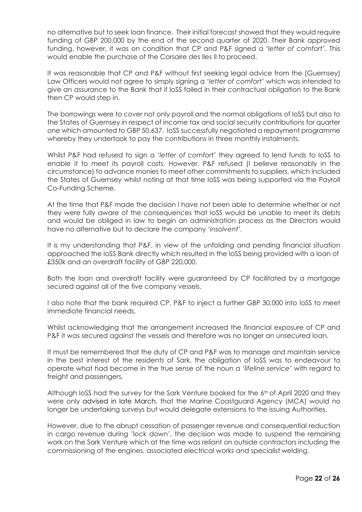no alternative but to seek loan finance. Their initial forecast showed that they would require funding of GBP 200,000 by the end of the second quarter of 2020. Their Bank approved funding, however, it was on condition that CP and P&F signed a *'letter of comfort'*. This would enable the purchase of the Corsaire des Iles II to proceed.

It was reasonable that CP and P&F without first seeking legal advice from the (Guernsey) Law Officers would not agree to simply signing a *'letter of comfort'* which was intended to give an assurance to the Bank that if IoSS failed in their contractual obligation to the Bank then CP would step in.

The borrowings were to cover not only payroll and the normal obligations of IoSS but also to the States of Guernsey in respect of income tax and social security contributions for quarter one which amounted to GBP 50,637. IoSS successfully negotiated a repayment programme whereby they undertook to pay the contributions in three monthly instalments.

Whilst P&F had refused to sign a *'letter of comfort'* they agreed to lend funds to IoSS to enable it to meet its payroll costs. However, P&F refused (I believe reasonably in the circumstance) to advance monies to meet other commitments to suppliers, which included the States of Guernsey whilst noting at that time IoSS was being supported via the Payroll Co-Funding Scheme.

At the time that P&F made the decision I have not been able to determine whether or not they were fully aware of the consequences that IoSS would be unable to meet its debts and would be obliged in law to begin an administration process as the Directors would have no alternative but to declare the company *'insolvent'.*

It is my understanding that P&F, in view of the unfolding and pending financial situation approached the IoSS Bank directly which resulted in the IoSS being provided with a loan of £350k and an overdraft facility of GBP 220,000.

Both the loan and overdraft facility were guaranteed by CP facilitated by a mortgage secured against all of the five company vessels.

I also note that the bank required CP, P&F to inject a further GBP 30,000 into IoSS to meet immediate financial needs.

Whilst acknowledging that the arrangement increased the financial exposure of CP and P&F it was secured against the vessels and therefore was no longer an unsecured loan.

It must be remembered that the duty of CP and P&F was to manage and maintain service in the best interest of the residents of Sark, the obligation of IoSS was to endeavour to operate what had become in the true sense of the noun a *'lifeline service'* with regard to freight and passengers.

Although IoSS had the survey for the Sark Venture booked for the 6<sup>th</sup> of April 2020 and they were only advised in late March, that the Marine Coastguard Agency (MCA) would no longer be undertaking surveys but would delegate extensions to the issuing Authorities.

However, due to the abrupt cessation of passenger revenue and consequential reduction in cargo revenue during 'lock down', the decision was made to suspend the remaining work on the Sark Venture which at the time was reliant on outside contractors including the commissioning of the engines, associated electrical works and specialist welding.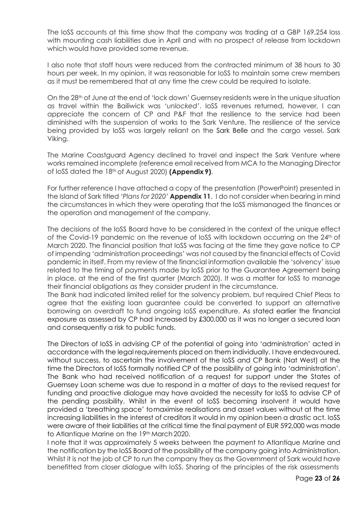The IoSS accounts at this time show that the company was trading at a GBP 169,254 loss with mounting cash liabilities due in April and with no prospect of release from lockdown which would have provided some revenue.

I also note that staff hours were reduced from the contracted minimum of 38 hours to 30 hours per week. In my opinion, it was reasonable for IoSS to maintain some crew members as it must be remembered that at any time the crew could be required to isolate.

On the 28th of June at the end of 'lock down' Guernsey residents were in the unique situation as travel within the Bailiwick was *'unlocked'*. IoSS revenues returned, however, I can appreciate the concern of CP and P&F that the resilience to the service had been diminished with the suspension of works to the Sark Venture. The resilience of the service being provided by IoSS was largely reliant on the Sark Belle and the cargo vessel, Sark Viking.

The Marine Coastguard Agency declined to travel and inspect the Sark Venture where works remained incomplete (reference email received from MCA to the Managing Director of IoSS dated the 18th of August 2020) **(Appendix 9)**.

For further reference I have attached a copy of the presentation (PowerPoint) presented in the Island of Sark titled *'Plans for 2020'* **Appendix 11**. I do not consider when bearing in mind the circumstances in which they were operating that the IoSS mismanaged the finances or the operation and management of the company.

The decisions of the IoSS Board have to be considered in the context of the unique effect of the Covid-19 pandemic on the revenue of IoSS with lockdown occurring on the 24th of March 2020. The financial position that IoSS was facing at the time they gave notice to CP of impending 'administration proceedings' was not caused by the financial effects of Covid pandemic in itself. From my review of the financial information available the 'solvency' issue related to the timing of payments made by IoSS prior to the Guarantee Agreement being in place, at the end of the first quarter (March 2020). It was a matter for IoSS to manage their financial obligations as they consider prudent in the circumstance.

The Bank had indicated limited relief for the solvency problem, but required Chief Pleas to agree that the existing loan guarantee could be converted to support an alternative borrowing on overdraft to fund ongoing IoSS expenditure. As stated earlier the financial exposure as assessed by CP had increased by £300,000 as it was no longer a secured loan and consequently a risk to public funds.

The Directors of IoSS in advising CP of the potential of going into 'administration' acted in accordance with the legal requirements placed on them individually. I have endeavoured, without success, to ascertain the involvement of the IoSS and CP Bank (Nat West) at the time the Directors of IoSS formally notified CP of the possibility of going into 'administration'. The Bank who had received notification of a request for support under the States of Guernsey Loan scheme was due to respond in a matter of days to the revised request for funding and proactive dialogue may have avoided the necessity for IoSS to advise CP of the pending possibility. Whilst in the event of IoSS becoming insolvent it would have provided a 'breathing space' tomaximise realisations and asset values without at the time increasing liabilities in the interest of creditors it would in my opinion been a drastic act. IoSS were aware of their liabilities at the critical time the final payment of EUR 592,000 was made to Atlantique Marine on the 19th March 2020.

I note that it was approximately 5 weeks between the payment to Atlantique Marine and the notification by the IoSS Board of the possibility of the company going into Administration. Whilst it is not the job of CP to run the company they as the Government of Sark would have benefitted from closer dialogue with IoSS. Sharing of the principles of the risk assessments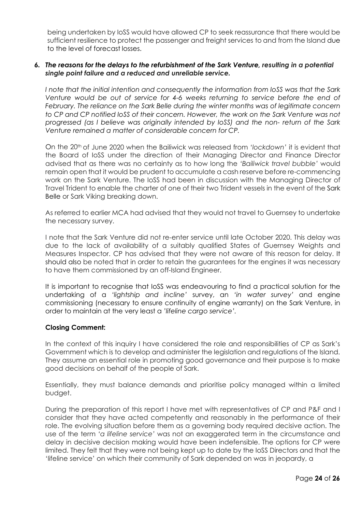being undertaken by IoSS would have allowed CP to seek reassurance that there would be sufficient resilience to protect the passenger and freight services to and from the Island due to the level of forecast losses.

### *6. The reasons for the delays to the refurbishment of the Sark Venture, resulting in a potential single point failure and a reduced and unreliable service.*

*I note that the initial intention and consequently the information from IoSS was that the Sark Venture would be out of service for 4-6 weeks returning to service before the end of February. The reliance on the Sark Belle during the winter months was of legitimate concern to CP and CP notified IoSS of their concern. However, the work on the Sark Venture was not progressed (as I believe was originally intended by IoSS) and the non- return of the Sark Venture remained a matter of considerable concern for CP.*

On the 20th of June 2020 when the Bailiwick was released from *'lockdown'* it is evident that the Board of IoSS under the direction of their Managing Director and Finance Director advised that as there was no certainty as to how long the *'Bailiwick travel bubble'* would remain open that it would be prudent to accumulate a cash reserve before re-commencing work on the Sark Venture. The IoSS had been in discussion with the Managing Director of Travel Trident to enable the charter of one of their two Trident vessels in the event of the Sark Belle or Sark Viking breaking down.

As referred to earlier MCA had advised that they would not travel to Guernsey to undertake the necessary survey.

I note that the Sark Venture did not re-enter service until late October 2020. This delay was due to the lack of availability of a suitably qualified States of Guernsey Weights and Measures Inspector. CP has advised that they were not aware of this reason for delay. It should also be noted that in order to retain the guarantees for the engines it was necessary to have them commissioned by an off-Island Engineer.

It is important to recognise that IoSS was endeavouring to find a practical solution for the undertaking of a *'lightship and incline'* survey, an *'in water survey'* and engine commissioning (necessary to ensure continuity of engine warranty) on the Sark Venture, in order to maintain at the very least a *'lifeline cargo service'.*

### **Closing Comment:**

In the context of this inquiry I have considered the role and responsibilities of CP as Sark's Government which is to develop and administer the legislation and regulations of the Island. They assume an essential role in promoting good governance and their purpose is to make good decisions on behalf of the people of Sark.

Essentially, they must balance demands and prioritise policy managed within a limited budget.

During the preparation of this report I have met with representatives of CP and P&F and I consider that they have acted competently and reasonably in the performance of their role. The evolving situation before them as a governing body required decisive action. The use of the term *'a lifeline service'* was not an exaggerated term in the circumstance and delay in decisive decision making would have been indefensible. The options for CP were limited. They felt that they were not being kept up to date by the IoSS Directors and that the 'lifeline service' on which their community of Sark depended on was in jeopardy, a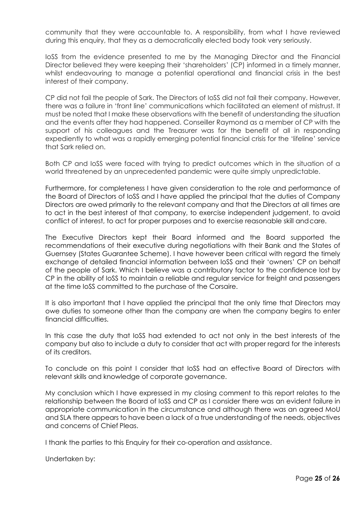community that they were accountable to. A responsibility, from what I have reviewed during this enquiry, that they as a democratically elected body took very seriously.

IoSS from the evidence presented to me by the Managing Director and the Financial Director believed they were keeping their 'shareholders' (CP) informed in a timely manner, whilst endeavouring to manage a potential operational and financial crisis in the best interest of their company.

CP did not fail the people of Sark. The Directors of IoSS did not fail their company. However, there was a failure in 'front line' communications which facilitated an element of mistrust. It must be noted that I make these observations with the benefit of understanding the situation and the events after they had happened. Conseiller Raymond as a member of CP with the support of his colleagues and the Treasurer was for the benefit of all in responding expediently to what was a rapidly emerging potential financial crisis for the 'lifeline' service that Sark relied on.

Both CP and IoSS were faced with trying to predict outcomes which in the situation of a world threatened by an unprecedented pandemic were quite simply unpredictable.

Furthermore, for completeness I have given consideration to the role and performance of the Board of Directors of IoSS and I have applied the principal that the duties of Company Directors are owed primarily to the relevant company and that the Directors at all times are to act in the best interest of that company, to exercise independent judgement, to avoid conflict of interest, to act for proper purposes and to exercise reasonable skill andcare.

The Executive Directors kept their Board informed and the Board supported the recommendations of their executive during negotiations with their Bank and the States of Guernsey (States Guarantee Scheme). I have however been critical with regard the timely exchange of detailed financial information between IoSS and their 'owners' CP on behalf of the people of Sark. Which I believe was a contributory factor to the confidence lost by CP in the ability of IoSS to maintain a reliable and regular service for freight and passengers at the time IoSS committed to the purchase of the Corsaire.

It is also important that I have applied the principal that the only time that Directors may owe duties to someone other than the company are when the company begins to enter financial difficulties.

In this case the duty that IoSS had extended to act not only in the best interests of the company but also to include a duty to consider that act with proper regard for the interests of its creditors.

To conclude on this point I consider that IoSS had an effective Board of Directors with relevant skills and knowledge of corporate governance.

My conclusion which I have expressed in my closing comment to this report relates to the relationship between the Board of IoSS and CP as I consider there was an evident failure in appropriate communication in the circumstance and although there was an agreed MoU and SLA there appears to have been a lack of a true understanding of the needs, objectives and concerns of Chief Pleas.

I thank the parties to this Enquiry for their co-operation and assistance.

Undertaken by: